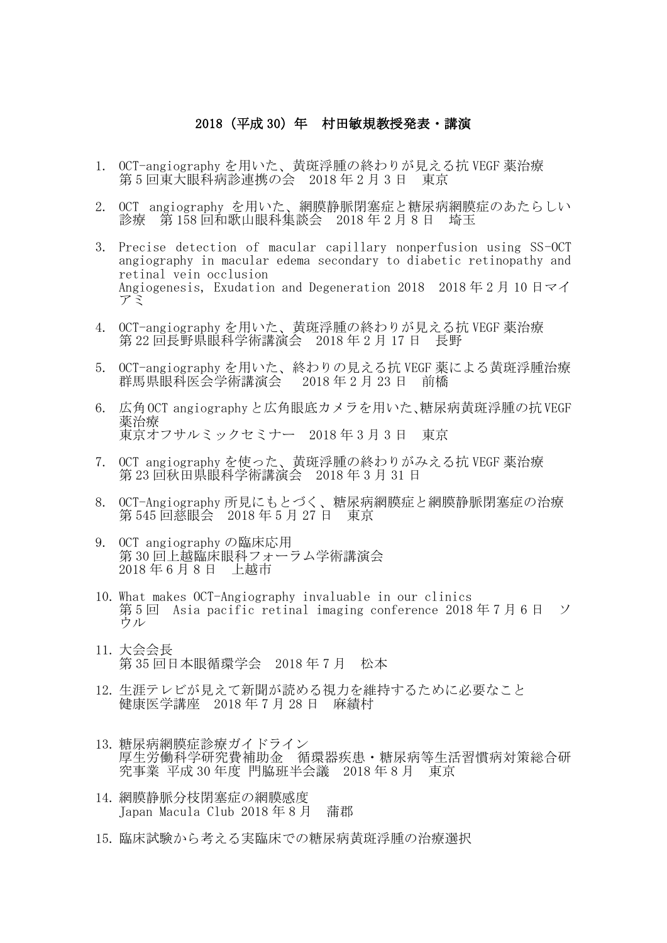## 2018(平成 30)年 村田敏規教授発表・講演

- 1. OCT-angiography を用いた、黄斑浮腫の終わりが見える抗 VEGF 薬治療 第 5 回東大眼科病診連携の会 2018 年 2 月 3 日 東京
- 2. OCT angiography を用いた、網膜静脈閉塞症と糖尿病網膜症のあたらしい 診療 第 158 回和歌山眼科集談会 2018 年 2 月 8 日 埼玉
- 3. Precise detection of macular capillary nonperfusion using SS-OCT angiography in macular edema secondary to diabetic retinopathy and retinal vein occlusion Angiogenesis, Exudation and Degeneration 2018 2018 年 2 月 10 日マイ アミ
- 4. OCT-angiography を用いた、黄斑浮腫の終わりが見える抗 VEGF 薬治療 第 22 回長野県眼科学術講演会 2018 年 2 月 17 日 長野
- 5. OCT-angiography を用いた、終わりの見える抗 VEGF 薬による黄斑浮腫治療 群馬県眼科医会学術講演会 2018 年 2 月 23 日 前橋
- 6. 広角OCT angiographyと広角眼底カメラを用いた、糖尿病黄斑浮腫の抗VEGF 薬治療 東京オフサルミックセミナー 2018 年 3 月 3 日 東京
- 7. OCT angiography を使った、黄斑浮腫の終わりがみえる抗 VEGF 薬治療 第 23 回秋田県眼科学術講演会 2018 年 3 月 31 日
- 8. OCT-Angiography 所見にもとづく、糖尿病網膜症と網膜静脈閉塞症の治療 第 545 回慈眼会 2018 年 5 月 27 日 東京
- 9. OCT angiography の臨床応用 第 30 回上越臨床眼科フォーラム学術講演会 2018 年 6 月 8 日 上越市
- 10. What makes OCT-Angiography invaluable in our clinics 第 5 回 Asia pacific retinal imaging conference 2018 年 7 月 6 日 ソ ウル
- 11. 大会会長 第 35 回日本眼循環学会 2018 年 7 月 松本
- 12. 生涯テレビが見えて新聞が読める視力を維持するために必要なこと 健康医学講座 2018 年 7 月 28 日 麻績村
- 13. 糖尿病網膜症診療ガイドライン 厚生労働科学研究費補助金 循環器疾患・糖尿病等生活習慣病対策総合研 究事業 平成 30 年度 門脇班半会議 2018 年 8 月 東京
- 14. 網膜静脈分枝閉塞症の網膜感度 Japan Macula Club 2018 年 8 月 蒲郡
- 15. 臨床試験から考える実臨床での糖尿病黄斑浮腫の治療選択